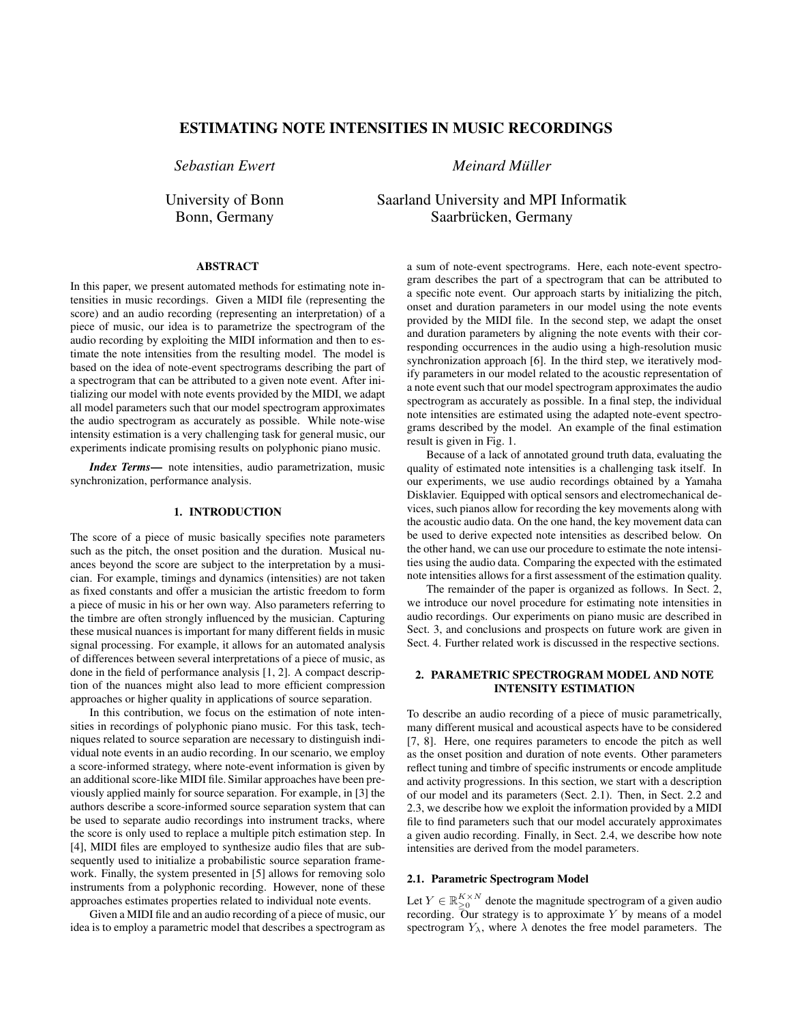## **ESTIMATING NOTE INTENSITIES IN MUSIC RECORDINGS**

*Sebastian Ewert*

University of Bonn Bonn, Germany

## **ABSTRACT**

In this paper, we present automated methods for estimating note intensities in music recordings. Given a MIDI file (representing the score) and an audio recording (representing an interpretation) of a piece of music, our idea is to parametrize the spectrogram of the audio recording by exploiting the MIDI information and then to estimate the note intensities from the resulting model. The model is based on the idea of note-event spectrograms describing the part of a spectrogram that can be attributed to a given note event. After initializing our model with note events provided by the MIDI, we adapt all model parameters such that our model spectrogram approximates the audio spectrogram as accurately as possible. While note-wise intensity estimation is a very challenging task for general music, our experiments indicate promising results on polyphonic piano music.

*Index Terms***—** note intensities, audio parametrization, music synchronization, performance analysis.

## **1. INTRODUCTION**

The score of a piece of music basically specifies note parameters such as the pitch, the onset position and the duration. Musical nuances beyond the score are subject to the interpretation by a musician. For example, timings and dynamics (intensities) are not taken as fixed constants and offer a musician the artistic freedom to form a piece of music in his or her own way. Also parameters referring to the timbre are often strongly influenced by the musician. Capturing these musical nuances is important for many different fields in music signal processing. For example, it allows for an automated analysis of differences between several interpretations of a piece of music, as done in the field of performance analysis [1, 2]. A compact description of the nuances might also lead to more efficient compression approaches or higher quality in applications of source separation.

In this contribution, we focus on the estimation of note intensities in recordings of polyphonic piano music. For this task, techniques related to source separation are necessary to distinguish individual note events in an audio recording. In our scenario, we employ a score-informed strategy, where note-event information is given by an additional score-like MIDI file. Similar approaches have been previously applied mainly for source separation. For example, in [3] the authors describe a score-informed source separation system that can be used to separate audio recordings into instrument tracks, where the score is only used to replace a multiple pitch estimation step. In [4], MIDI files are employed to synthesize audio files that are subsequently used to initialize a probabilistic source separation framework. Finally, the system presented in [5] allows for removing solo instruments from a polyphonic recording. However, none of these approaches estimates properties related to individual note events.

Given a MIDI file and an audio recording of a piece of music, our idea is to employ a parametric model that describes a spectrogram as

*Meinard Muller ¨*

# Saarland University and MPI Informatik Saarbrücken, Germany

a sum of note-event spectrograms. Here, each note-event spectrogram describes the part of a spectrogram that can be attributed to a specific note event. Our approach starts by initializing the pitch, onset and duration parameters in our model using the note events provided by the MIDI file. In the second step, we adapt the onset and duration parameters by aligning the note events with their corresponding occurrences in the audio using a high-resolution music synchronization approach [6]. In the third step, we iteratively modify parameters in our model related to the acoustic representation of a note event such that our model spectrogram approximates the audio spectrogram as accurately as possible. In a final step, the individual note intensities are estimated using the adapted note-event spectrograms described by the model. An example of the final estimation result is given in Fig. 1.

Because of a lack of annotated ground truth data, evaluating the quality of estimated note intensities is a challenging task itself. In our experiments, we use audio recordings obtained by a Yamaha Disklavier. Equipped with optical sensors and electromechanical devices, such pianos allow for recording the key movements along with the acoustic audio data. On the one hand, the key movement data can be used to derive expected note intensities as described below. On the other hand, we can use our procedure to estimate the note intensities using the audio data. Comparing the expected with the estimated note intensities allows for a first assessment of the estimation quality.

The remainder of the paper is organized as follows. In Sect. 2, we introduce our novel procedure for estimating note intensities in audio recordings. Our experiments on piano music are described in Sect. 3, and conclusions and prospects on future work are given in Sect. 4. Further related work is discussed in the respective sections.

## **2. PARAMETRIC SPECTROGRAM MODEL AND NOTE INTENSITY ESTIMATION**

To describe an audio recording of a piece of music parametrically, many different musical and acoustical aspects have to be considered [7, 8]. Here, one requires parameters to encode the pitch as well as the onset position and duration of note events. Other parameters reflect tuning and timbre of specific instruments or encode amplitude and activity progressions. In this section, we start with a description of our model and its parameters (Sect. 2.1). Then, in Sect. 2.2 and 2.3, we describe how we exploit the information provided by a MIDI file to find parameters such that our model accurately approximates a given audio recording. Finally, in Sect. 2.4, we describe how note intensities are derived from the model parameters.

## **2.1. Parametric Spectrogram Model**

Let  $Y \in \mathbb{R}_{\geq 0}^{K \times N}$  denote the magnitude spectrogram of a given audio recording. Our strategy is to approximate  $Y$  by means of a model spectrogram  $Y_{\lambda}$ , where  $\lambda$  denotes the free model parameters. The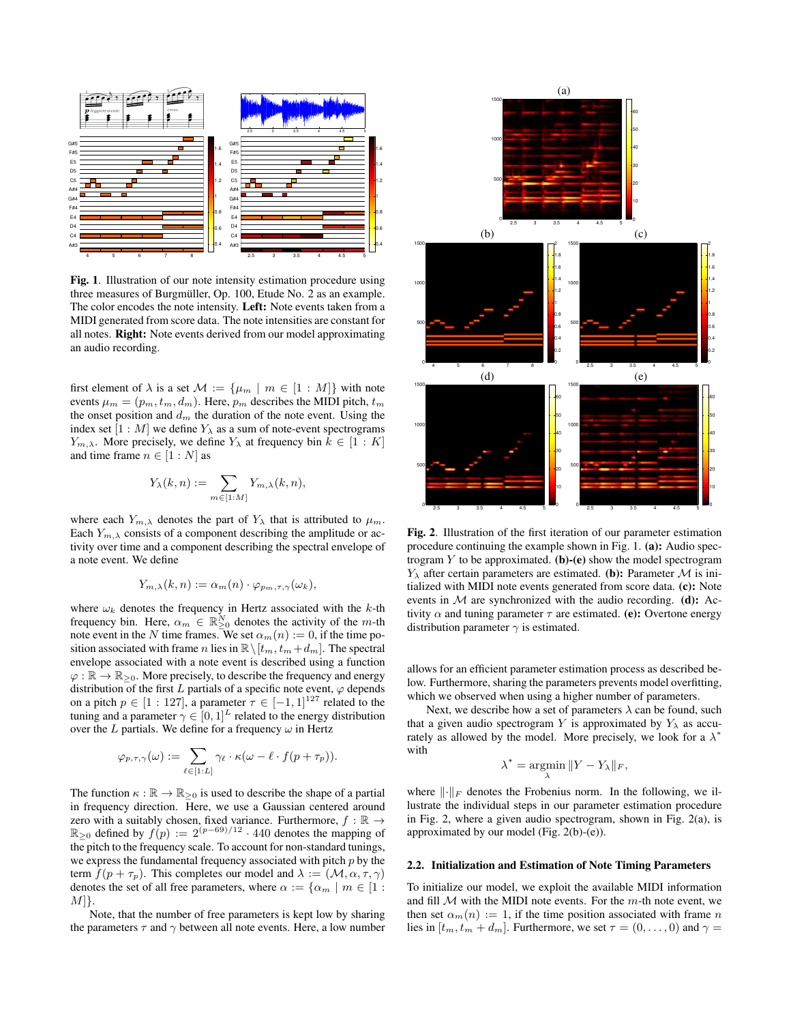

**Fig. 1**. Illustration of our note intensity estimation procedure using three measures of Burgmüller, Op. 100, Etude No. 2 as an example. The color encodes the note intensity. **Left:** Note events taken from a MIDI generated from score data. The note intensities are constant for all notes. **Right:** Note events derived from our model approximating an audio recording.

first element of  $\lambda$  is a set  $\mathcal{M} := \{\mu_m \mid m \in [1 : M]\}\$  with note events  $\mu_m = (p_m, t_m, d_m)$ . Here,  $p_m$  describes the MIDI pitch,  $t_m$ the onset position and  $d_m$  the duration of the note event. Using the index set  $[1 : M]$  we define  $Y_{\lambda}$  as a sum of note-event spectrograms  $Y_{m,\lambda}$ . More precisely, we define  $Y_{\lambda}$  at frequency bin  $k \in [1:K]$ and time frame  $n \in [1:N]$  as

$$
Y_{\lambda}(k,n) := \sum_{m \in [1:M]} Y_{m,\lambda}(k,n),
$$

where each  $Y_{m,\lambda}$  denotes the part of  $Y_{\lambda}$  that is attributed to  $\mu_m$ . Each  $Y_{m,\lambda}$  consists of a component describing the amplitude or activity over time and a component describing the spectral envelope of a note event. We define

$$
Y_{m,\lambda}(k,n) := \alpha_m(n) \cdot \varphi_{p_m,\tau,\gamma}(\omega_k),
$$

where  $\omega_k$  denotes the frequency in Hertz associated with the k-th frequency bin. Here,  $\alpha_m \in \mathbb{R}_{\geq 0}^N$  denotes the activity of the m-th note event in the N time frames. We set  $\alpha_m(n) := 0$ , if the time position associated with frame n lies in  $\mathbb{R}\setminus [t_m, t_m + d_m]$ . The spectral envelope associated with a note event is described using a function  $\varphi : \mathbb{R} \to \mathbb{R}_{\geq 0}$ . More precisely, to describe the frequency and energy distribution of the first L partials of a specific note event,  $\varphi$  depends on a pitch  $p\in[1:127],$  a parameter  $\tau\in[-1,1]^{127}$  related to the tuning and a parameter  $\gamma \in [0,1]^L$  related to the energy distribution over the L partials. We define for a frequency  $\omega$  in Hertz

$$
\varphi_{p,\tau,\gamma}(\omega) := \sum_{\ell \in [1:L]} \gamma_{\ell} \cdot \kappa(\omega - \ell \cdot f(p + \tau_p)).
$$

The function  $\kappa : \mathbb{R} \to \mathbb{R}_{\geq 0}$  is used to describe the shape of a partial in frequency direction. Here, we use a Gaussian centered around zero with a suitably chosen, fixed variance. Furthermore,  $f : \mathbb{R} \to$  $\mathbb{R}_{\geq 0}$  defined by  $f(p) := 2^{(p-69)/12} \cdot 440$  denotes the mapping of the pitch to the frequency scale. To account for non-standard tunings, we express the fundamental frequency associated with pitch  $p$  by the term  $f(p + \tau_p)$ . This completes our model and  $\lambda := (\mathcal{M}, \alpha, \tau, \gamma)$ denotes the set of all free parameters, where  $\alpha := {\alpha_m \mid m \in [1 :]}$  $M$ ] $}.$ 

Note, that the number of free parameters is kept low by sharing the parameters  $\tau$  and  $\gamma$  between all note events. Here, a low number



**Fig. 2**. Illustration of the first iteration of our parameter estimation procedure continuing the example shown in Fig. 1. **(a):** Audio spectrogram Y to be approximated. **(b)-(e)** show the model spectrogram  $Y_{\lambda}$  after certain parameters are estimated. **(b):** Parameter M is initialized with MIDI note events generated from score data. **(c):** Note events in M are synchronized with the audio recording. **(d):** Activity  $\alpha$  and tuning parameter  $\tau$  are estimated. **(e):** Overtone energy distribution parameter  $\gamma$  is estimated.

allows for an efficient parameter estimation process as described below. Furthermore, sharing the parameters prevents model overfitting, which we observed when using a higher number of parameters.

Next, we describe how a set of parameters  $\lambda$  can be found, such that a given audio spectrogram Y is approximated by  $Y_\lambda$  as accurately as allowed by the model. More precisely, we look for a  $\lambda^*$ with

$$
\lambda^* = \operatorname*{argmin}_{\lambda} \|Y - Y_{\lambda}\|_F,
$$

where  $\|\cdot\|_F$  denotes the Frobenius norm. In the following, we illustrate the individual steps in our parameter estimation procedure in Fig. 2, where a given audio spectrogram, shown in Fig. 2(a), is approximated by our model (Fig. 2(b)-(e)).

#### **2.2. Initialization and Estimation of Note Timing Parameters**

To initialize our model, we exploit the available MIDI information and fill  $M$  with the MIDI note events. For the  $m$ -th note event, we then set  $\alpha_m(n) := 1$ , if the time position associated with frame n lies in  $[t_m, t_m + d_m]$ . Furthermore, we set  $\tau = (0, \ldots, 0)$  and  $\gamma =$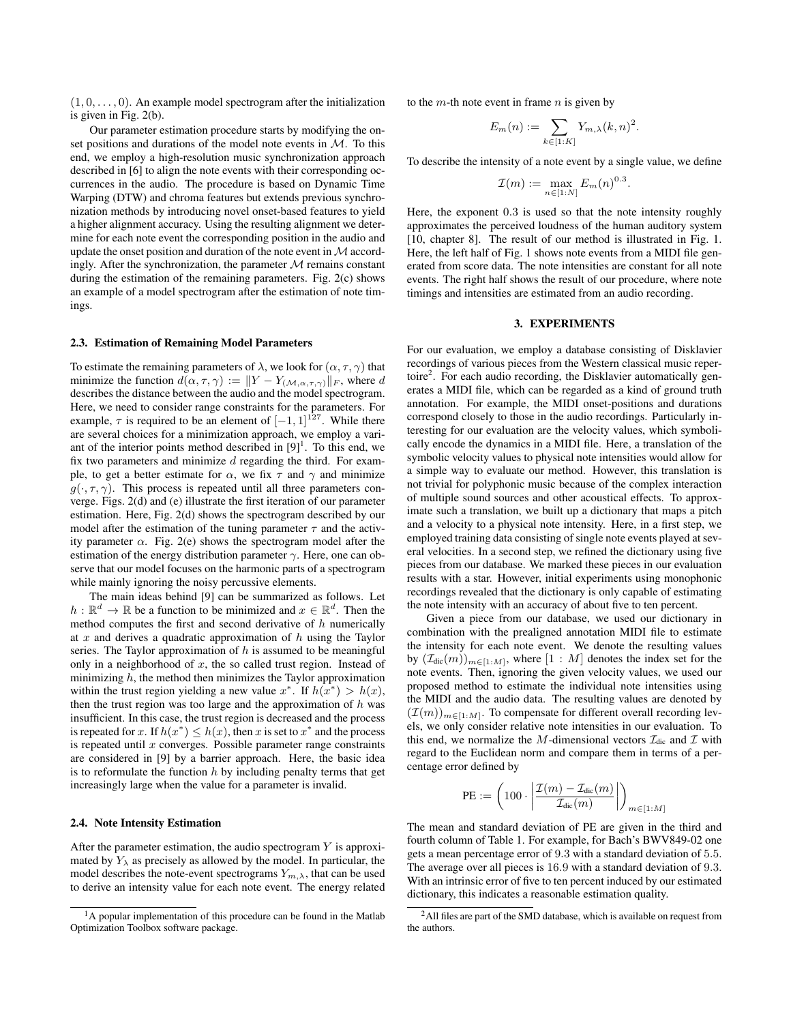$(1, 0, \ldots, 0)$ . An example model spectrogram after the initialization is given in Fig. 2(b).

Our parameter estimation procedure starts by modifying the onset positions and durations of the model note events in M. To this end, we employ a high-resolution music synchronization approach described in [6] to align the note events with their corresponding occurrences in the audio. The procedure is based on Dynamic Time Warping (DTW) and chroma features but extends previous synchronization methods by introducing novel onset-based features to yield a higher alignment accuracy. Using the resulting alignment we determine for each note event the corresponding position in the audio and update the onset position and duration of the note event in  $\mathcal M$  accordingly. After the synchronization, the parameter  $M$  remains constant during the estimation of the remaining parameters. Fig. 2(c) shows an example of a model spectrogram after the estimation of note timings.

#### **2.3. Estimation of Remaining Model Parameters**

To estimate the remaining parameters of  $\lambda$ , we look for  $(\alpha, \tau, \gamma)$  that minimize the function  $d(\alpha, \tau, \gamma) := ||Y - Y_{(\mathcal{M}, \alpha, \tau, \gamma)}||_F$ , where d describes the distance between the audio and the model spectrogram. Here, we need to consider range constraints for the parameters. For example,  $\tau$  is required to be an element of  $[-1, 1]^{127}$ . While there are several choices for a minimization approach, we employ a variant of the interior points method described in  $[9]$ <sup>1</sup>. To this end, we fix two parameters and minimize  $d$  regarding the third. For example, to get a better estimate for  $\alpha$ , we fix  $\tau$  and  $\gamma$  and minimize  $g(\cdot, \tau, \gamma)$ . This process is repeated until all three parameters converge. Figs. 2(d) and (e) illustrate the first iteration of our parameter estimation. Here, Fig. 2(d) shows the spectrogram described by our model after the estimation of the tuning parameter  $\tau$  and the activity parameter  $\alpha$ . Fig. 2(e) shows the spectrogram model after the estimation of the energy distribution parameter  $\gamma$ . Here, one can observe that our model focuses on the harmonic parts of a spectrogram while mainly ignoring the noisy percussive elements.

The main ideas behind [9] can be summarized as follows. Let  $h: \mathbb{R}^d \to \mathbb{R}$  be a function to be minimized and  $x \in \mathbb{R}^d$ . Then the method computes the first and second derivative of  $h$  numerically at  $x$  and derives a quadratic approximation of  $h$  using the Taylor series. The Taylor approximation of  $h$  is assumed to be meaningful only in a neighborhood of  $x$ , the so called trust region. Instead of minimizing  $h$ , the method then minimizes the Taylor approximation within the trust region yielding a new value  $x^*$ . If  $h(x^*) > h(x)$ , then the trust region was too large and the approximation of  $h$  was insufficient. In this case, the trust region is decreased and the process is repeated for x. If  $h(x^*) \leq h(x)$ , then x is set to  $x^*$  and the process is repeated until  $x$  converges. Possible parameter range constraints are considered in [9] by a barrier approach. Here, the basic idea is to reformulate the function  $h$  by including penalty terms that get increasingly large when the value for a parameter is invalid.

## **2.4. Note Intensity Estimation**

After the parameter estimation, the audio spectrogram Y is approximated by  $Y_{\lambda}$  as precisely as allowed by the model. In particular, the model describes the note-event spectrograms  $Y_{m,\lambda}$ , that can be used to derive an intensity value for each note event. The energy related

to the  $m$ -th note event in frame  $n$  is given by

$$
E_m(n) := \sum_{k \in [1:K]} Y_{m,\lambda}(k,n)^2.
$$

To describe the intensity of a note event by a single value, we define

$$
\mathcal{I}(m) := \max_{n \in [1:N]} E_m(n)^{0.3}.
$$

Here, the exponent 0.3 is used so that the note intensity roughly approximates the perceived loudness of the human auditory system [10, chapter 8]. The result of our method is illustrated in Fig. 1. Here, the left half of Fig. 1 shows note events from a MIDI file generated from score data. The note intensities are constant for all note events. The right half shows the result of our procedure, where note timings and intensities are estimated from an audio recording.

## **3. EXPERIMENTS**

For our evaluation, we employ a database consisting of Disklavier recordings of various pieces from the Western classical music repertoire<sup>2</sup>. For each audio recording, the Disklavier automatically generates a MIDI file, which can be regarded as a kind of ground truth annotation. For example, the MIDI onset-positions and durations correspond closely to those in the audio recordings. Particularly interesting for our evaluation are the velocity values, which symbolically encode the dynamics in a MIDI file. Here, a translation of the symbolic velocity values to physical note intensities would allow for a simple way to evaluate our method. However, this translation is not trivial for polyphonic music because of the complex interaction of multiple sound sources and other acoustical effects. To approximate such a translation, we built up a dictionary that maps a pitch and a velocity to a physical note intensity. Here, in a first step, we employed training data consisting of single note events played at several velocities. In a second step, we refined the dictionary using five pieces from our database. We marked these pieces in our evaluation results with a star. However, initial experiments using monophonic recordings revealed that the dictionary is only capable of estimating the note intensity with an accuracy of about five to ten percent.

Given a piece from our database, we used our dictionary in combination with the prealigned annotation MIDI file to estimate the intensity for each note event. We denote the resulting values by  $(\mathcal{I}_{\text{dic}}(m))_{m \in [1:M]}$ , where  $[1:M]$  denotes the index set for the note events. Then, ignoring the given velocity values, we used our proposed method to estimate the individual note intensities using the MIDI and the audio data. The resulting values are denoted by  $(\mathcal{I}(m))_{m \in [1:M]}$ . To compensate for different overall recording levels, we only consider relative note intensities in our evaluation. To this end, we normalize the M-dimensional vectors  $\mathcal{I}_{\text{dic}}$  and  $\mathcal I$  with regard to the Euclidean norm and compare them in terms of a percentage error defined by

$$
\mathrm{PE} := \left(100 \cdot \left| \frac{\mathcal{I}(m) - \mathcal{I}_{\mathrm{dic}}(m)}{\mathcal{I}_{\mathrm{dic}}(m)} \right| \right)_{m \in [1:M]}
$$

The mean and standard deviation of PE are given in the third and fourth column of Table 1. For example, for Bach's BWV849-02 one gets a mean percentage error of 9.3 with a standard deviation of 5.5. The average over all pieces is 16.9 with a standard deviation of 9.3. With an intrinsic error of five to ten percent induced by our estimated dictionary, this indicates a reasonable estimation quality.

<sup>&</sup>lt;sup>1</sup>A popular implementation of this procedure can be found in the Matlab Optimization Toolbox software package.

<sup>2</sup>All files are part of the SMD database, which is available on request from the authors.